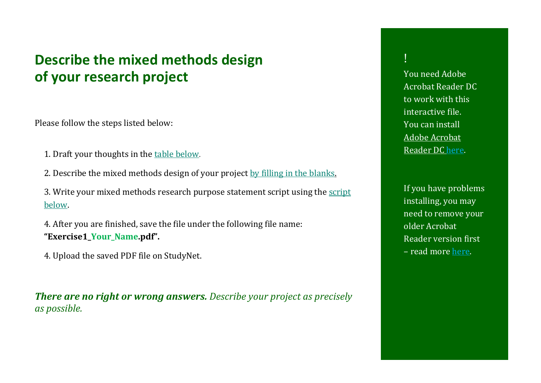## <span id="page-0-0"></span>**Describe the mixed methods design of your research project**

Please follow the steps listed below:

- 1. Draft your thoughts in the [table below.](#page-1-0)
- 2. Describe the mixed methods design of your project by [filling in the blanks.](#page-3-0)
- 3. Write your mixed methods research purpose statement script using the [script](#page-4-0)  [below.](#page-4-0)
- 4. After you are finished, save the file under the following file name: **"Exercise1\_Your\_Name.pdf".**
- 4. Upload the saved PDF file on StudyNet.

*There are no right or wrong answers. Describe your project as precisely as possible.*

! You need Adobe Acrobat Reader DC to work with this interactive file. You can install [Adobe Acrobat](https://get.adobe.com/de/reader/)  [Reader DC here.](https://get.adobe.com/de/reader/)

If you have problems installing, you may need to remove your older Acrobat Reader version first – read more [here.](https://helpx.adobe.com/de/acrobat/kb/update-errors-acrobat-reader-windows.html)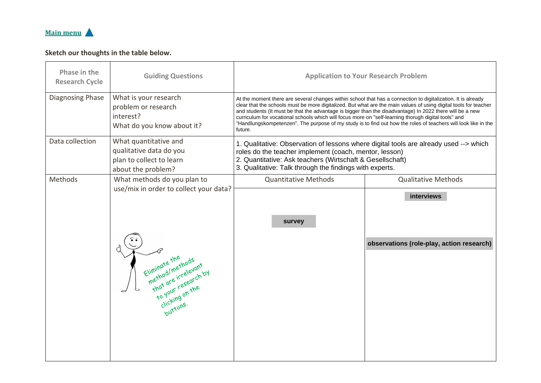<span id="page-1-0"></span>

## **Sketch our thoughts in the table below.**

| Phase in the<br><b>Research Cycle</b> | <b>Guiding Questions</b>                                                                                                                                | <b>Application to Your Research Problem</b>                                                                                                                                                                                                                                                                                                                                                                                                                                                                                                                                       |                                                                |
|---------------------------------------|---------------------------------------------------------------------------------------------------------------------------------------------------------|-----------------------------------------------------------------------------------------------------------------------------------------------------------------------------------------------------------------------------------------------------------------------------------------------------------------------------------------------------------------------------------------------------------------------------------------------------------------------------------------------------------------------------------------------------------------------------------|----------------------------------------------------------------|
| Diagnosing Phase                      | What is your research<br>problem or research<br>interest?<br>What do you know about it?                                                                 | At the moment there are several changes within school that has a connection to digitalization. It is already<br>clear that the schools must be more digitalized. But what are the main values of using digital tools for teacher<br>and students (It must be that the advantage is bigger than the disadvantage) In 2022 there will be a new<br>curriculum for vocational schools which will focus more on "self-learning thorugh digital tools" and<br>"Handlungskompetenzen". The purpose of my study is to find out how the roles of teachers will look like in the<br>future. |                                                                |
| Data collection                       | What quantitative and<br>qualitative data do you<br>plan to collect to learn<br>about the problem?                                                      | 1. Qualitative: Observation of lessons where digital tools are already used --> which<br>roles do the teacher implement (coach, mentor, lesson)<br>2. Quantitative: Ask teachers (Wirtschaft & Gesellschaft)<br>3. Qualitative: Talk through the findings with experts.                                                                                                                                                                                                                                                                                                           |                                                                |
| Methods                               | What methods do you plan to<br>use/mix in order to collect your data?                                                                                   | <b>Quantitative Methods</b>                                                                                                                                                                                                                                                                                                                                                                                                                                                                                                                                                       | <b>Qualitative Methods</b>                                     |
|                                       | / Eliminate the hods<br>method/methods<br>method/methods<br>that are irrelevant<br>to your research<br>to your research<br>to your research<br>buttons. | survey                                                                                                                                                                                                                                                                                                                                                                                                                                                                                                                                                                            | <b>interviews</b><br>observations (role-play, action research) |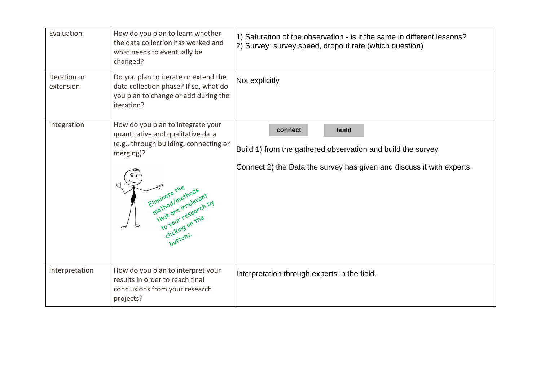| Evaluation                | How do you plan to learn whether<br>the data collection has worked and<br>what needs to eventually be<br>changed?                                                                                                                             | 1) Saturation of the observation - is it the same in different lessons?<br>2) Survey: survey speed, dropout rate (which question)                        |  |
|---------------------------|-----------------------------------------------------------------------------------------------------------------------------------------------------------------------------------------------------------------------------------------------|----------------------------------------------------------------------------------------------------------------------------------------------------------|--|
| Iteration or<br>extension | Do you plan to iterate or extend the<br>data collection phase? If so, what do<br>you plan to change or add during the<br>iteration?                                                                                                           | Not explicitly                                                                                                                                           |  |
| Integration               | How do you plan to integrate your<br>quantitative and qualitative data<br>(e.g., through building, connecting or<br>merging)?<br>Eliminate the<br>method/methods<br>that are irrelevant<br>To your research by<br>clicking on the<br>buttons. | build<br>connect<br>Build 1) from the gathered observation and build the survey<br>Connect 2) the Data the survey has given and discuss it with experts. |  |
| Interpretation            | How do you plan to interpret your<br>results in order to reach final<br>conclusions from your research<br>projects?                                                                                                                           | Interpretation through experts in the field.                                                                                                             |  |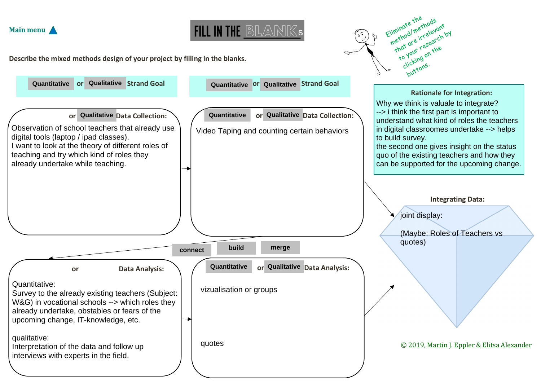



Eliminate the Eliminate the<br>Eliminate the thods<br>method/methods iminate the thods<br>method/methods/<br>method/methods/anth<br>that are irresearch by

<span id="page-3-0"></span>**Describe the mixed methods design of your project by filling in the blanks.**